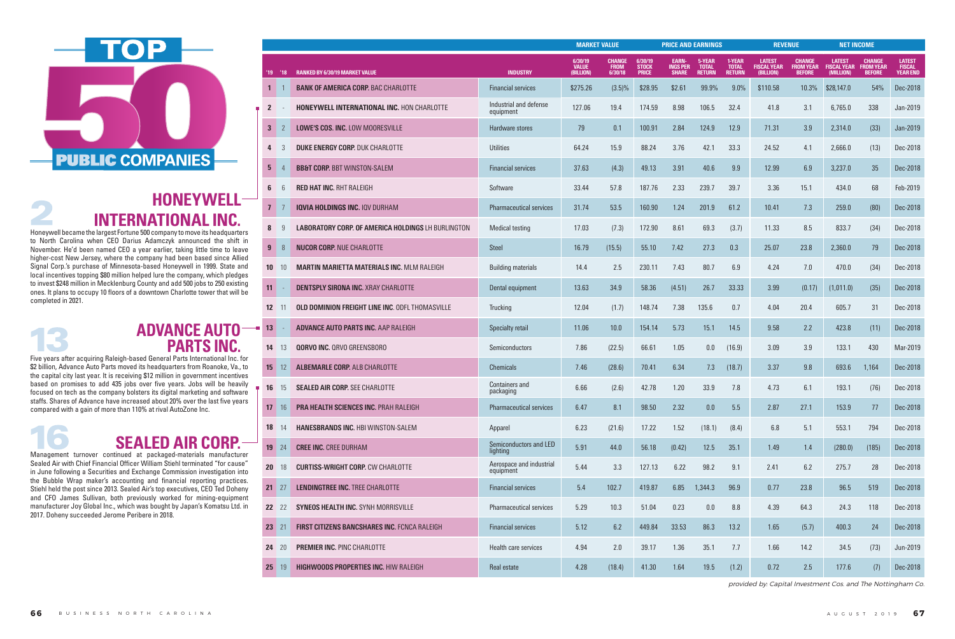|                 |                |                                                           |                                       | <b>MARKET VALUE</b>                  |                                         |                                         | <b>PRICE AND EARNINGS</b>                       |                                         |                                         |                                                  | <b>REVENUE</b>                                     |                                                  | <b>NET INCOME</b>                                  |                                                   |
|-----------------|----------------|-----------------------------------------------------------|---------------------------------------|--------------------------------------|-----------------------------------------|-----------------------------------------|-------------------------------------------------|-----------------------------------------|-----------------------------------------|--------------------------------------------------|----------------------------------------------------|--------------------------------------------------|----------------------------------------------------|---------------------------------------------------|
| 19              | $^{\prime}$ 18 | <b>RANKED BY 6/30/19 MARKET VALUE</b>                     | <b>INDUSTRY</b>                       | 6/30/19<br><b>VALUE</b><br>(BILLION) | <b>CHANGE</b><br><b>FROM</b><br>6/30/18 | 6/30/19<br><b>STOCK</b><br><b>PRICE</b> | <b>EARN-</b><br><b>INGS PER</b><br><b>SHARE</b> | 5-YEAR<br><b>TOTAL</b><br><b>RETURN</b> | 1-YEAR<br><b>TOTAL</b><br><b>RETURN</b> | <b>LATEST</b><br><b>FISCAL YEAR</b><br>(BILLION) | <b>CHANGE</b><br><b>FROM YEAR</b><br><b>BEFORE</b> | <b>LATEST</b><br><b>FISCAL YEAR</b><br>(MILLION) | <b>CHANGE</b><br><b>FROM YEAR</b><br><b>BEFORE</b> | <b>LATEST</b><br><b>FISCAL</b><br><b>YEAR END</b> |
| $\mathbf{1}$    |                | <b>BANK OF AMERICA CORP. BAC CHARLOTTE</b>                | <b>Financial services</b>             | \$275.26                             | $(3.5)\%$                               | \$28.95                                 | \$2.61                                          | 99.9%                                   | 9.0%                                    | \$110.58                                         | 10.3%                                              | \$28,147.0                                       | 54%                                                | Dec-2018                                          |
| $\mathbf{2}$    |                | <b>HONEYWELL INTERNATIONAL INC. HON CHARLOTTE</b>         | Industrial and defense<br>equipment   | 127.06                               | 19.4                                    | 174.59                                  | 8.98                                            | 106.5                                   | 32.4                                    | 41.8                                             | 3.1                                                | 6,765.0                                          | 338                                                | Jan-2019                                          |
| 3               |                | LOWE'S COS. INC. LOW MOORESVILLE                          | Hardware stores                       | 79                                   | 0.1                                     | 100.91                                  | 2.84                                            | 124.9                                   | 12.9                                    | 71.31                                            | 3.9                                                | 2,314.0                                          | (33)                                               | Jan-2019                                          |
|                 |                | <b>DUKE ENERGY CORP. DUK CHARLOTTE</b>                    | <b>Utilities</b>                      | 64.24                                | 15.9                                    | 88.24                                   | 3.76                                            | 42.1                                    | 33.3                                    | 24.52                                            | 4.1                                                | 2,666.0                                          | (13)                                               | Dec-2018                                          |
| 5.              |                | <b>BB&amp;T CORP. BBT WINSTON-SALEM</b>                   | <b>Financial services</b>             | 37.63                                | (4.3)                                   | 49.13                                   | 3.91                                            | 40.6                                    | 9.9                                     | 12.99                                            | 6.9                                                | 3,237.0                                          | 35                                                 | Dec-2018                                          |
| 6               |                | <b>RED HAT INC. RHT RALEIGH</b>                           | Software                              | 33.44                                | 57.8                                    | 187.76                                  | 2.33                                            | 239.7                                   | 39.7                                    | 3.36                                             | 15.1                                               | 434.0                                            | 68                                                 | Feb-2019                                          |
| $7\phantom{0}$  |                | <b>IQVIA HOLDINGS INC. IQV DURHAM</b>                     | <b>Pharmaceutical services</b>        | 31.74                                | 53.5                                    | 160.90                                  | 1.24                                            | 201.9                                   | 61.2                                    | 10.41                                            | 7.3                                                | 259.0                                            | (80)                                               | Dec-2018                                          |
|                 | -9             | <b>LABORATORY CORP. OF AMERICA HOLDINGS LH BURLINGTON</b> | <b>Medical testing</b>                | 17.03                                | (7.3)                                   | 172.90                                  | 8.61                                            | 69.3                                    | (3.7)                                   | 11.33                                            | 8.5                                                | 833.7                                            | (34)                                               | Dec-2018                                          |
| 9               | 8              | <b>NUCOR CORP. NUE CHARLOTTE</b>                          | <b>Steel</b>                          | 16.79                                | (15.5)                                  | 55.10                                   | 7.42                                            | 27.3                                    | 0.3                                     | 25.07                                            | 23.8                                               | 2,360.0                                          | 79                                                 | Dec-2018                                          |
| 10              | 10             | <b>MARTIN MARIETTA MATERIALS INC. MLM RALEIGH</b>         | <b>Building materials</b>             | 14.4                                 | 2.5                                     | 230.11                                  | 7.43                                            | 80.7                                    | 6.9                                     | 4.24                                             | 7.0                                                | 470.0                                            | (34)                                               | Dec-2018                                          |
| -11             |                | <b>DENTSPLY SIRONA INC. XRAY CHARLOTTE</b>                | Dental equipment                      | 13.63                                | 34.9                                    | 58.36                                   | (4.51)                                          | 26.7                                    | 33.33                                   | 3.99                                             | (0.17)                                             | (1,011.0)                                        | (35)                                               | Dec-2018                                          |
| 12 <sup>2</sup> | -11            | <b>OLD DOMINION FREIGHT LINE INC. ODFL THOMASVILLE</b>    | Trucking                              | 12.04                                | (1.7)                                   | 148.74                                  | 7.38                                            | 135.6                                   | 0.7                                     | 4.04                                             | 20.4                                               | 605.7                                            | 31                                                 | Dec-2018                                          |
| 13              |                | <b>ADVANCE AUTO PARTS INC. AAP RALEIGH</b>                | Specialty retail                      | 11.06                                | 10.0                                    | 154.14                                  | 5.73                                            | 15.1                                    | 14.5                                    | 9.58                                             | 2.2                                                | 423.8                                            | (11)                                               | Dec-2018                                          |
| 14              | -13            | <b>QORVO INC. QRVO GREENSBORO</b>                         | Semiconductors                        | 7.86                                 | (22.5)                                  | 66.61                                   | 1.05                                            | 0.0                                     | (16.9)                                  | 3.09                                             | 3.9                                                | 133.1                                            | 430                                                | Mar-2019                                          |
| 15              | 12             | <b>ALBEMARLE CORP. ALB CHARLOTTE</b>                      | <b>Chemicals</b>                      | 7.46                                 | (28.6)                                  | 70.41                                   | 6.34                                            | 7.3                                     | (18.7)                                  | 3.37                                             | 9.8                                                | 693.6                                            | 1,164                                              | Dec-2018                                          |
| 16              | 15             | <b>SEALED AIR CORP. SEE CHARLOTTE</b>                     | <b>Containers and</b><br>packaging    | 6.66                                 | (2.6)                                   | 42.78                                   | 1.20                                            | 33.9                                    | 7.8                                     | 4.73                                             | 6.1                                                | 193.1                                            | (76)                                               | Dec-2018                                          |
| 17              | 16             | PRA HEALTH SCIENCES INC. PRAH RALEIGH                     | <b>Pharmaceutical services</b>        | 6.47                                 | 8.1                                     | 98.50                                   | 2.32                                            | $0.0\,$                                 | 5.5                                     | 2.87                                             | 27.1                                               | 153.9                                            | 77                                                 | Dec-2018                                          |
| 18              | 14             | <b>HANESBRANDS INC. HBI WINSTON-SALEM</b>                 | Apparel                               | 6.23                                 | (21.6)                                  | 17.22                                   | 1.52                                            | (18.1)                                  | (8.4)                                   | $6.8\,$                                          | 5.1                                                | 553.1                                            | 794                                                | Dec-2018                                          |
| 19 24           |                | <b>CREE INC. CREE DURHAM</b>                              | Semiconductors and LED<br>lighting    | 5.91                                 | 44.0                                    | 56.18                                   | (0.42)                                          | 12.5                                    | 35.1                                    | 1.49                                             | 1.4                                                | (280.0)                                          | (185)                                              | Dec-2018                                          |
| <b>20</b>       | 18             | <b>CURTISS-WRIGHT CORP. CW CHARLOTTE</b>                  | Aerospace and industrial<br>equipment | 5.44                                 | 3.3                                     | 127.13                                  | 6.22                                            | 98.2                                    | 9.1                                     | 2.41                                             | 6.2                                                | 275.7                                            | 28                                                 | Dec-2018                                          |
| $21 \t27$       |                | <b>LENDINGTREE INC. TREE CHARLOTTE</b>                    | <b>Financial services</b>             | 5.4                                  | 102.7                                   | 419.87                                  | 6.85                                            | 1,344.3                                 | 96.9                                    | 0.77                                             | 23.8                                               | 96.5                                             | 519                                                | Dec-2018                                          |
| 22 22           |                | SYNEOS HEALTH INC. SYNH MORRISVILLE                       | <b>Pharmaceutical services</b>        | 5.29                                 | 10.3                                    | 51.04                                   | 0.23                                            | $0.0\,$                                 | 8.8                                     | 4.39                                             | 64.3                                               | 24.3                                             | 118                                                | Dec-2018                                          |
| 23 21           |                | FIRST CITIZENS BANCSHARES INC. FCNCA RALEIGH              | <b>Financial services</b>             | 5.12                                 | 6.2                                     | 449.84                                  | 33.53                                           | 86.3                                    | 13.2                                    | 1.65                                             | (5.7)                                              | 400.3                                            | 24                                                 | Dec-2018                                          |
| 24              | -20            | <b>PREMIER INC. PINC CHARLOTTE</b>                        | Health care services                  | 4.94                                 | 2.0                                     | 39.17                                   | 1.36                                            | 35.1                                    | 7.7                                     | 1.66                                             | 14.2                                               | 34.5                                             | (73)                                               | Jun-2019                                          |
| 25              | -19            | <b>HIGHWOODS PROPERTIES INC. HIW RALEIGH</b>              | Real estate                           | 4.28                                 | (18.4)                                  | 41.30                                   | 1.64                                            | 19.5                                    | (1.2)                                   | 0.72                                             | 2.5                                                | 177.6                                            | (7)                                                | Dec-2018                                          |

#### **ADVANCE AUTO –– PARTS INC.**



## **HONEYWELL-INTERNATIONAL INC.**

provided by: Capital Investment Cos. and The Nottingham Co.

## **SEALED AIR CORP.**

Management turnover continued at packaged-materials manufacturer Sealed Air with Chief Financial Officer William Stiehl terminated "for cause" in June following a Securities and Exchange Commission investigation into the Bubble Wrap maker's accounting and financial reporting practices. Stiehl held the post since 2013. Sealed Air's top executives, CEO Ted Doheny and CFO James Sullivan, both previously worked for mining-equipment manufacturer Joy Global Inc., which was bought by Japan's Komatsu Ltd. in 2017. Doheny succeeded Jerome Peribere in 2018.

Five years after acquiring Raleigh-based General Parts International Inc. for \$2 billion, Advance Auto Parts moved its headquarters from Roanoke, Va., to the capital city last year. It is receiving \$12 million in government incentives based on promises to add 435 jobs over five years. Jobs will be heavily focused on tech as the company bolsters its digital marketing and software staffs. Shares of Advance have increased about 20% over the last five years compared with a gain of more than 110% at rival AutoZone Inc.

Honeywell became the largest Fortune 500 company to move its headquarters to North Carolina when CEO Darius Adamczyk announced the shift in November. He'd been named CEO a year earlier, taking little time to leave higher-cost New Jersey, where the company had been based since Allied Signal Corp.'s purchase of Minnesota-based Honeywell in 1999. State and local incentives topping \$80 million helped lure the company, which pledges to invest \$248 million in Mecklenburg County and add 500 jobs to 250 existing ones. It plans to occupy 10 floors of a downtown Charlotte tower that will be completed in 2021.